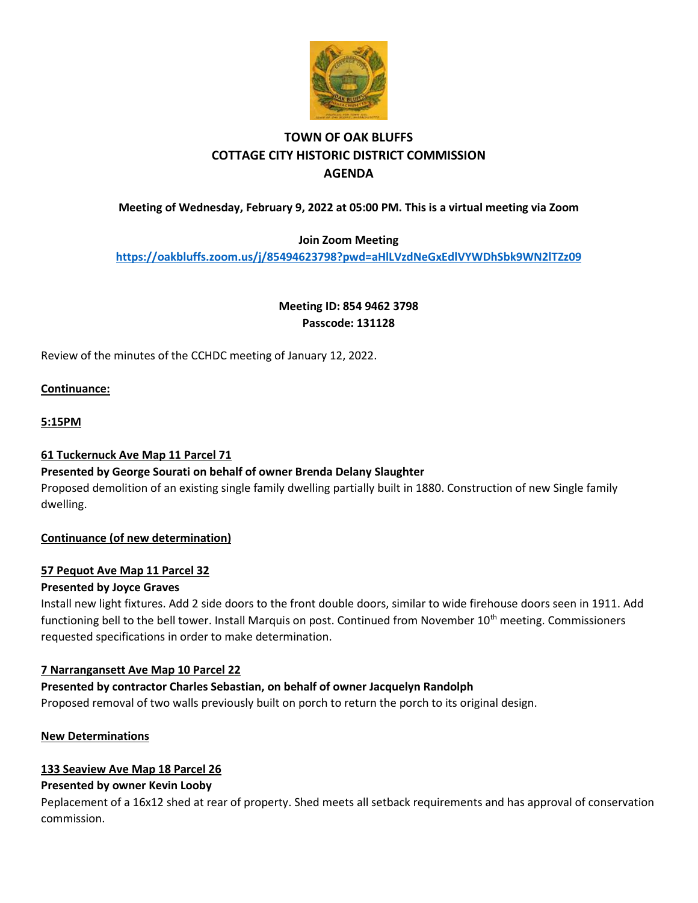

# **TOWN OF OAK BLUFFS COTTAGE CITY HISTORIC DISTRICT COMMISSION AGENDA**

## **Meeting of Wednesday, February 9, 2022 at 05:00 PM. This is a virtual meeting via Zoom**

### **Join Zoom Meeting**

**<https://oakbluffs.zoom.us/j/85494623798?pwd=aHlLVzdNeGxEdlVYWDhSbk9WN2lTZz09>**

**Meeting ID: 854 9462 3798 Passcode: 131128**

Review of the minutes of the CCHDC meeting of January 12, 2022.

#### **Continuance:**

#### **5:15PM**

#### **61 Tuckernuck Ave Map 11 Parcel 71**

#### **Presented by George Sourati on behalf of owner Brenda Delany Slaughter**

Proposed demolition of an existing single family dwelling partially built in 1880. Construction of new Single family dwelling.

#### **Continuance (of new determination)**

#### **57 Pequot Ave Map 11 Parcel 32**

#### **Presented by Joyce Graves**

Install new light fixtures. Add 2 side doors to the front double doors, similar to wide firehouse doors seen in 1911. Add functioning bell to the bell tower. Install Marquis on post. Continued from November 10<sup>th</sup> meeting. Commissioners requested specifications in order to make determination.

#### **7 Narrangansett Ave Map 10 Parcel 22**

#### **Presented by contractor Charles Sebastian, on behalf of owner Jacquelyn Randolph**

Proposed removal of two walls previously built on porch to return the porch to its original design.

#### **New Determinations**

#### **133 Seaview Ave Map 18 Parcel 26**

#### **Presented by owner Kevin Looby**

Peplacement of a 16x12 shed at rear of property. Shed meets all setback requirements and has approval of conservation commission.